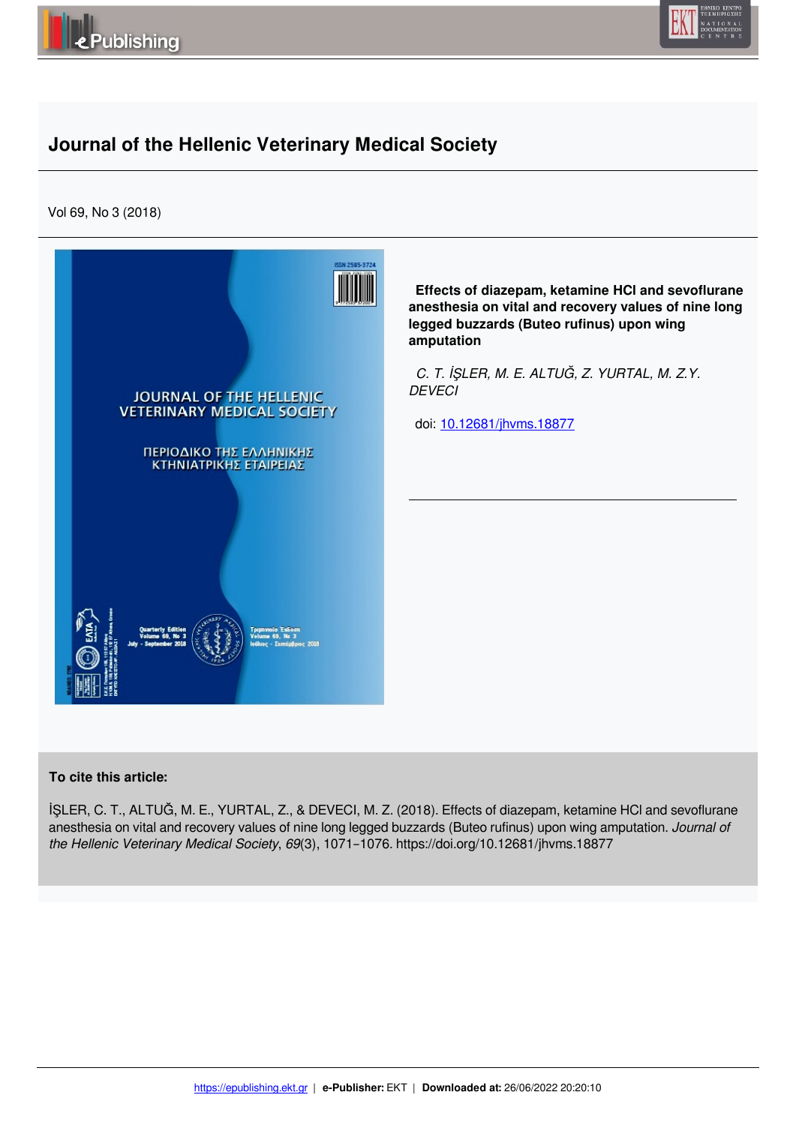



# **Journal of the Hellenic Veterinary Medical Society**

Vol 69, No 3 (2018)



 **Effects of diazepam, ketamine HCl and sevoflurane anesthesia on vital and recovery values of nine long legged buzzards (Buteo rufinus) upon wing amputation**

 *C. T. İŞLER, M. E. ALTUĞ, Z. YURTAL, M. Z.Y. DEVECI* 

doi: 10.12681/jhvms.18877

### **To cite this article:**

İŞLER, C. T., ALTUĞ, M. E., YURTAL, Z., & DEVECI, M. Z. (2018). Effects of diazepam, ketamine HCl and sevoflurane anesthesia on vital and recovery values of nine long legged buzzards (Buteo rufinus) upon wing amputation. *Journal of the Hellenic Veterinary Medical Society*, *69*(3), 1071–1076. https://doi.org/10.12681/jhvms.18877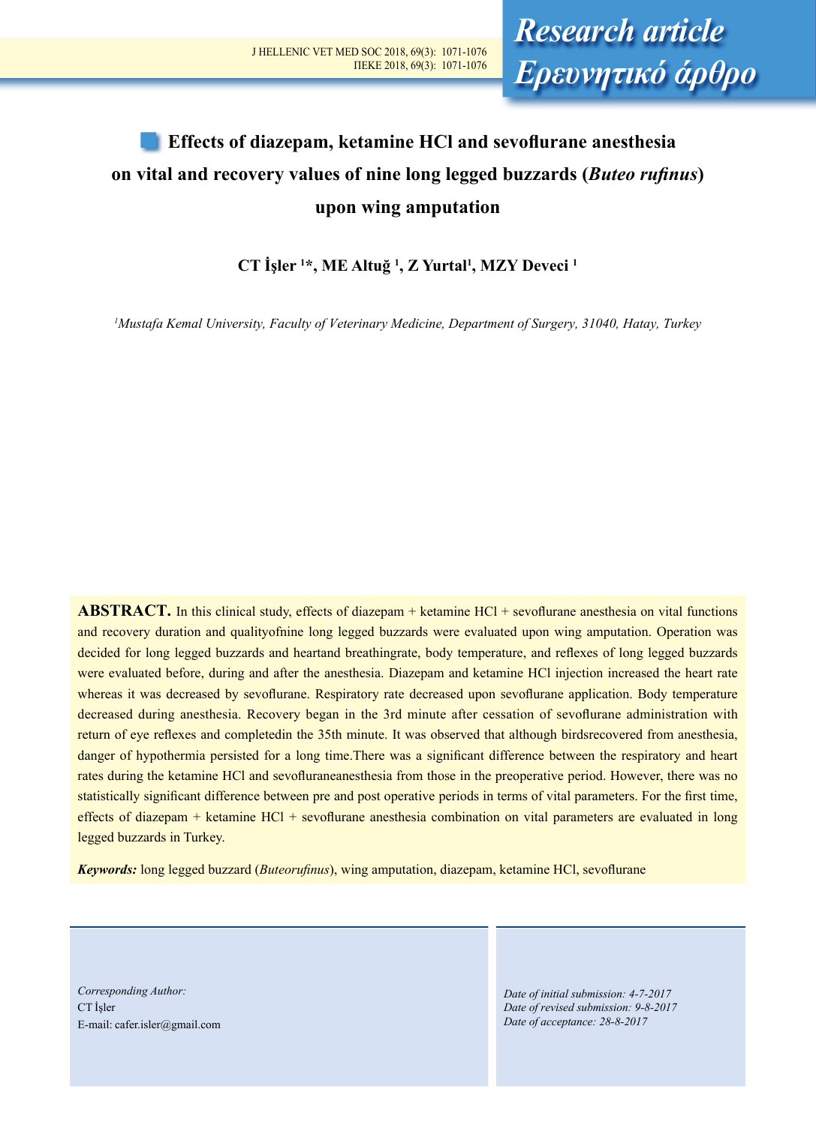# **Effects of diazepam, ketamine HCl and sevoflurane anesthesia on vital and recovery values of nine long legged buzzards (***Buteo rufinus***) upon wing amputation**

**CT İşler <sup>1</sup> \*, ME Altuğ <sup>1</sup> , Z Yurtal<sup>1</sup> , MZY Deveci 1**

*1 Mustafa Kemal University, Faculty of Veterinary Medicine, Department of Surgery, 31040, Hatay, Turkey*

**ABSTRACT.** In this clinical study, effects of diazepam + ketamine HCl + sevoflurane anesthesia on vital functions and recovery duration and qualityofnine long legged buzzards were evaluated upon wing amputation. Operation was decided for long legged buzzards and heartand breathingrate, body temperature, and reflexes of long legged buzzards were evaluated before, during and after the anesthesia. Diazepam and ketamine HCl injection increased the heart rate whereas it was decreased by sevoflurane. Respiratory rate decreased upon sevoflurane application. Body temperature decreased during anesthesia. Recovery began in the 3rd minute after cessation of sevoflurane administration with return of eye reflexes and completedin the 35th minute. It was observed that although birdsrecovered from anesthesia, danger of hypothermia persisted for a long time. There was a significant difference between the respiratory and heart rates during the ketamine HCl and sevofluraneanesthesia from those in the preoperative period. However, there was no statistically significant difference between pre and post operative periods in terms of vital parameters. For the first time, effects of diazepam + ketamine HCl + sevoflurane anesthesia combination on vital parameters are evaluated in long legged buzzards in Turkey.

*Keywords:* long legged buzzard (*Buteorufinus*), wing amputation, diazepam, ketamine HCl, sevoflurane

*Corresponding Author:*  CT İşler E-mail: cafer.isler@gmail.com

*Date of initial submission: 4-7-2017 Date of revised submission: 9-8-2017 Date of acceptance: 28-8-2017*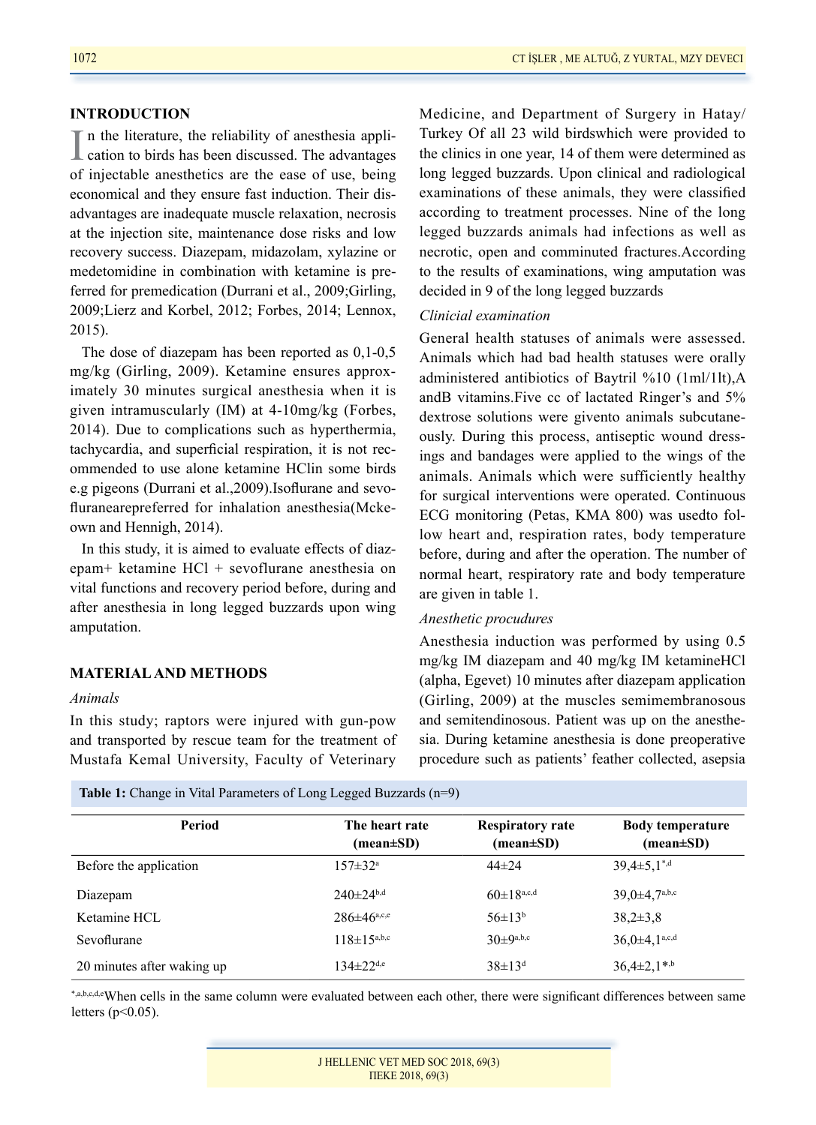#### 1072 CT İŞLER , ME ALTUĞ, Z YURTAL, MZY DEVECI

#### **INTRODUCTION**

In the literature, the reliability of anesthesia application to birds has been discussed. The advantages n the literature, the reliability of anesthesia appliof injectable anesthetics are the ease of use, being economical and they ensure fast induction. Their disadvantages are inadequate muscle relaxation, necrosis at the injection site, maintenance dose risks and low recovery success. Diazepam, midazolam, xylazine or medetomidine in combination with ketamine is preferred for premedication (Durrani et al., 2009;Girling, 2009;Lierz and Korbel, 2012; Forbes, 2014; Lennox, 2015).

The dose of diazepam has been reported as 0,1-0,5 mg/kg (Girling, 2009). Ketamine ensures approximately 30 minutes surgical anesthesia when it is given intramuscularly (IM) at 4-10mg/kg (Forbes, 2014). Due to complications such as hyperthermia, tachycardia, and superficial respiration, it is not recommended to use alone ketamine HClin some birds e.g pigeons (Durrani et al.,2009).Isoflurane and sevofluranearepreferred for inhalation anesthesia(Mckeown and Hennigh, 2014).

In this study, it is aimed to evaluate effects of diazepam+ ketamine HCl + sevoflurane anesthesia on vital functions and recovery period before, during and after anesthesia in long legged buzzards upon wing amputation.

## **MATERIAL AND METHODS**

#### *Animals*

In this study; raptors were injured with gun-pow and transported by rescue team for the treatment of Mustafa Kemal University, Faculty of Veterinary

Medicine, and Department of Surgery in Hatay/ Turkey Of all 23 wild birdswhich were provided to the clinics in one year, 14 of them were determined as long legged buzzards. Upon clinical and radiological examinations of these animals, they were classified according to treatment processes. Nine of the long legged buzzards animals had infections as well as necrotic, open and comminuted fractures.According to the results of examinations, wing amputation was decided in 9 of the long legged buzzards

### *Clinicial examination*

General health statuses of animals were assessed. Animals which had bad health statuses were orally administered antibiotics of Baytril %10 (1ml/1lt),A andB vitamins.Five cc of lactated Ringer's and 5% dextrose solutions were givento animals subcutaneously. During this process, antiseptic wound dressings and bandages were applied to the wings of the animals. Animals which were sufficiently healthy for surgical interventions were operated. Continuous ECG monitoring (Petas, KMA 800) was usedto follow heart and, respiration rates, body temperature before, during and after the operation. The number of normal heart, respiratory rate and body temperature are given in table 1.

#### *Anesthetic procudures*

Anesthesia induction was performed by using 0.5 mg/kg IM diazepam and 40 mg/kg IM ketamineHCl (alpha, Egevet) 10 minutes after diazepam application (Girling, 2009) at the muscles semimembranosous and semitendinosous. Patient was up on the anesthesia. During ketamine anesthesia is done preoperative procedure such as patients' feather collected, asepsia

Table 1: Change in Vital Parameters of Long Legged Buzzards (n=9)

| Period                     | The heart rate<br>(mean±SD) | <b>Respiratory rate</b><br>$(\text{mean} \pm \text{SD})$ | <b>Body temperature</b><br>$(\text{mean} \pm \text{SD})$ |
|----------------------------|-----------------------------|----------------------------------------------------------|----------------------------------------------------------|
| Before the application     | $157 \pm 32^{\text{a}}$     | $44\pm 24$                                               | $39.4 \pm 5.1$ <sup>*,d</sup>                            |
| Diazepam                   | $240 \pm 24^{b,d}$          | $60 \pm 18^{a,c,d}$                                      | $39,0+4,7^{a,b,c}$                                       |
| Ketamine HCL               | $286 \pm 46^{\text{a,c,e}}$ | $56\pm13^{b}$                                            | $38.2 \pm 3.8$                                           |
| Sevoflurane                | $118 \pm 15^{a,b,c}$        | $30±9^{a,b,c}$                                           | $36.0 \pm 4.1^{a,c,d}$                                   |
| 20 minutes after waking up | $134 \pm 22$ <sup>d,e</sup> | $38 \pm 13^{d}$                                          | $36,4\pm2,1$ <sup>*,b</sup>                              |

\*,a,b,c,d,eWhen cells in the same column were evaluated between each other, there were significant differences between same letters ( $p<0.05$ ).

| J HELLENIC VET MED SOC 2018, 69(3) |  |  |  |  |
|------------------------------------|--|--|--|--|
| TIEKE $2018, 69(3)$                |  |  |  |  |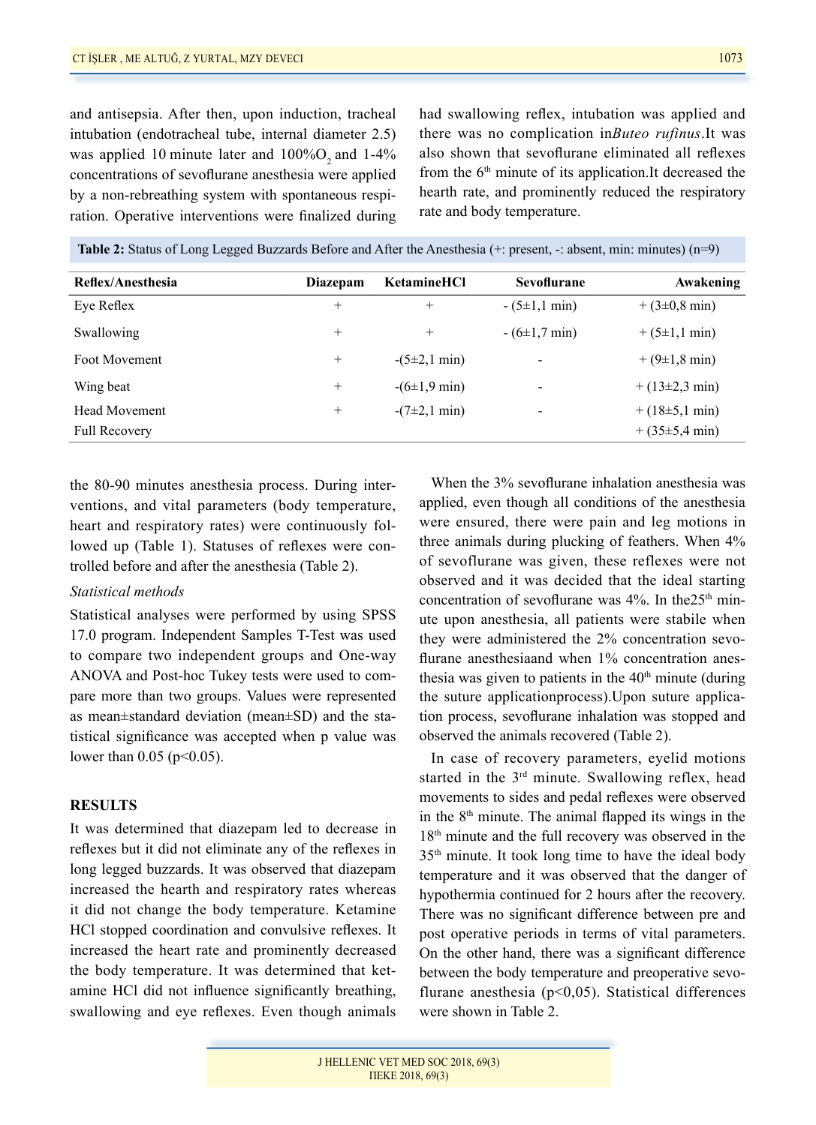and antisepsia. After then, upon induction, tracheal intubation (endotracheal tube, internal diameter 2.5) was applied 10 minute later and  $100\%$ O<sub>2</sub> and  $1-4\%$ concentrations of sevoflurane anesthesia were applied by a non-rebreathing system with spontaneous respiration. Operative interventions were finalized during had swallowing reflex, intubation was applied and there was no complication in*Buteo rufinus*.It was also shown that sevoflurane eliminated all reflexes from the  $6<sup>th</sup>$  minute of its application.It decreased the hearth rate, and prominently reduced the respiratory rate and body temperature.

**Table 2:** Status of Long Legged Buzzards Before and After the Anesthesia (+: present, -: absent, min: minutes) (n=9)

| Reflex/Anesthesia    | Diazepam | <b>KetamineHCl</b>         | Sevoflurane              | Awakening                 |
|----------------------|----------|----------------------------|--------------------------|---------------------------|
| Eye Reflex           | $^+$     | $^{+}$                     | $-(5\pm1,1 \text{ min})$ | $+(3\pm0.8 \text{ min})$  |
| Swallowing           | $^+$     | $^{+}$                     | $-(6\pm1,7 \text{ min})$ | $+(5\pm1,1 \text{ min})$  |
| Foot Movement        | $^+$     | $-(5\pm 2, 1 \text{ min})$ |                          | $+(9\pm1,8 \text{ min})$  |
| Wing beat            | $^{+}$   | $-(6\pm1.9 \text{ min})$   | -                        | $+(13\pm2.3 \text{ min})$ |
| <b>Head Movement</b> | $^{+}$   | $-(7\pm2,1 \text{ min})$   | $\overline{\phantom{0}}$ | $+(18\pm5,1 \text{ min})$ |
| <b>Full Recovery</b> |          |                            |                          | $+(35\pm5.4 \text{ min})$ |

the 80-90 minutes anesthesia process. During interventions, and vital parameters (body temperature, heart and respiratory rates) were continuously followed up (Table 1). Statuses of reflexes were controlled before and after the anesthesia (Table 2).

#### *Statistical methods*

Statistical analyses were performed by using SPSS 17.0 program. Independent Samples T-Test was used to compare two independent groups and One-way ANOVA and Post-hoc Tukey tests were used to compare more than two groups. Values were represented as mean±standard deviation (mean±SD) and the statistical significance was accepted when p value was lower than  $0.05$  (p<0.05).

#### **RESULTS**

It was determined that diazepam led to decrease in reflexes but it did not eliminate any of the reflexes in long legged buzzards. It was observed that diazepam increased the hearth and respiratory rates whereas it did not change the body temperature. Ketamine HCl stopped coordination and convulsive reflexes. It increased the heart rate and prominently decreased the body temperature. It was determined that ketamine HCl did not influence significantly breathing, swallowing and eye reflexes. Even though animals

When the 3% sevoflurane inhalation anesthesia was applied, even though all conditions of the anesthesia were ensured, there were pain and leg motions in three animals during plucking of feathers. When 4% of sevoflurane was given, these reflexes were not observed and it was decided that the ideal starting concentration of sevoflurane was  $4\%$ . In the 25<sup>th</sup> minute upon anesthesia, all patients were stabile when they were administered the 2% concentration sevoflurane anesthesiaand when 1% concentration anesthesia was given to patients in the  $40<sup>th</sup>$  minute (during the suture applicationprocess).Upon suture application process, sevoflurane inhalation was stopped and observed the animals recovered (Table 2).

In case of recovery parameters, eyelid motions started in the 3<sup>rd</sup> minute. Swallowing reflex, head movements to sides and pedal reflexes were observed in the  $8<sup>th</sup>$  minute. The animal flapped its wings in the 18<sup>th</sup> minute and the full recovery was observed in the 35th minute. It took long time to have the ideal body temperature and it was observed that the danger of hypothermia continued for 2 hours after the recovery. There was no significant difference between pre and post operative periods in terms of vital parameters. On the other hand, there was a significant difference between the body temperature and preoperative sevoflurane anesthesia ( $p<0,05$ ). Statistical differences were shown in Table 2.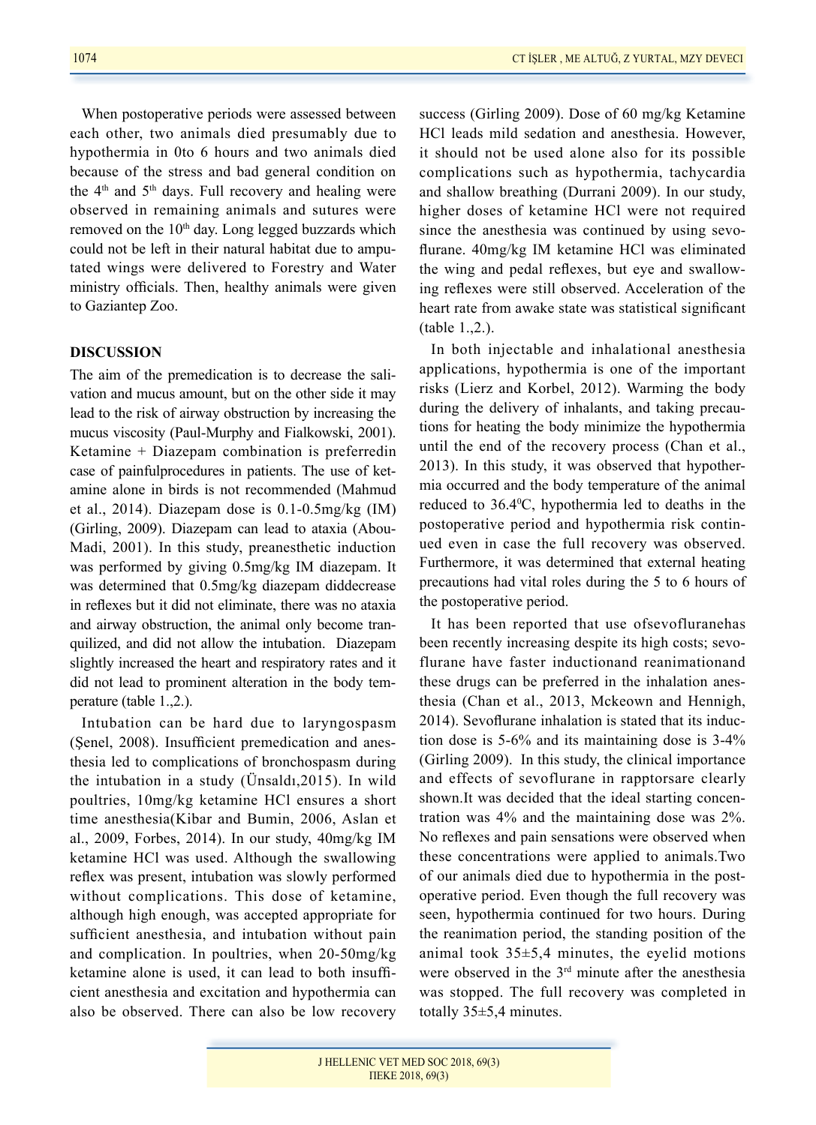When postoperative periods were assessed between each other, two animals died presumably due to hypothermia in 0to 6 hours and two animals died because of the stress and bad general condition on the  $4<sup>th</sup>$  and  $5<sup>th</sup>$  days. Full recovery and healing were observed in remaining animals and sutures were removed on the  $10<sup>th</sup>$  day. Long legged buzzards which could not be left in their natural habitat due to amputated wings were delivered to Forestry and Water ministry officials. Then, healthy animals were given to Gaziantep Zoo.

#### **DISCUSSION**

The aim of the premedication is to decrease the salivation and mucus amount, but on the other side it may lead to the risk of airway obstruction by increasing the mucus viscosity (Paul-Murphy and Fialkowski, 2001). Ketamine + Diazepam combination is preferredin case of painfulprocedures in patients. The use of ketamine alone in birds is not recommended (Mahmud et al., 2014). Diazepam dose is 0.1-0.5mg/kg (IM) (Girling, 2009). Diazepam can lead to ataxia (Abou-Madi, 2001). In this study, preanesthetic induction was performed by giving 0.5mg/kg IM diazepam. It was determined that 0.5mg/kg diazepam diddecrease in reflexes but it did not eliminate, there was no ataxia and airway obstruction, the animal only become tranquilized, and did not allow the intubation. Diazepam slightly increased the heart and respiratory rates and it did not lead to prominent alteration in the body temperature (table 1.,2.).

Intubation can be hard due to laryngospasm (Şenel, 2008). Insufficient premedication and anesthesia led to complications of bronchospasm during the intubation in a study (Ünsaldı,2015). In wild poultries, 10mg/kg ketamine HCl ensures a short time anesthesia(Kibar and Bumin, 2006, Aslan et al., 2009, Forbes, 2014). In our study, 40mg/kg IM ketamine HCl was used. Although the swallowing reflex was present, intubation was slowly performed without complications. This dose of ketamine, although high enough, was accepted appropriate for sufficient anesthesia, and intubation without pain and complication. In poultries, when 20-50mg/kg ketamine alone is used, it can lead to both insufficient anesthesia and excitation and hypothermia can also be observed. There can also be low recovery success (Girling 2009). Dose of 60 mg/kg Ketamine HCl leads mild sedation and anesthesia. However, it should not be used alone also for its possible complications such as hypothermia, tachycardia and shallow breathing (Durrani 2009). In our study, higher doses of ketamine HCl were not required since the anesthesia was continued by using sevoflurane. 40mg/kg IM ketamine HCl was eliminated the wing and pedal reflexes, but eye and swallowing reflexes were still observed. Acceleration of the heart rate from awake state was statistical significant (table 1.,2.).

In both injectable and inhalational anesthesia applications, hypothermia is one of the important risks (Lierz and Korbel, 2012). Warming the body during the delivery of inhalants, and taking precautions for heating the body minimize the hypothermia until the end of the recovery process (Chan et al., 2013). In this study, it was observed that hypothermia occurred and the body temperature of the animal reduced to 36.40 C, hypothermia led to deaths in the postoperative period and hypothermia risk continued even in case the full recovery was observed. Furthermore, it was determined that external heating precautions had vital roles during the 5 to 6 hours of the postoperative period.

It has been reported that use ofsevofluranehas been recently increasing despite its high costs; sevoflurane have faster inductionand reanimationand these drugs can be preferred in the inhalation anesthesia (Chan et al., 2013, Mckeown and Hennigh, 2014). Sevoflurane inhalation is stated that its induction dose is 5-6% and its maintaining dose is 3-4% (Girling 2009). In this study, the clinical importance and effects of sevoflurane in rapptorsare clearly shown.It was decided that the ideal starting concentration was 4% and the maintaining dose was 2%. No reflexes and pain sensations were observed when these concentrations were applied to animals.Two of our animals died due to hypothermia in the postoperative period. Even though the full recovery was seen, hypothermia continued for two hours. During the reanimation period, the standing position of the animal took 35±5,4 minutes, the eyelid motions were observed in the 3<sup>rd</sup> minute after the anesthesia was stopped. The full recovery was completed in totally 35±5,4 minutes.

J HELLENIC VET MED SOC 2018, 69(3) ΠΕΚΕ 2018, 69(3)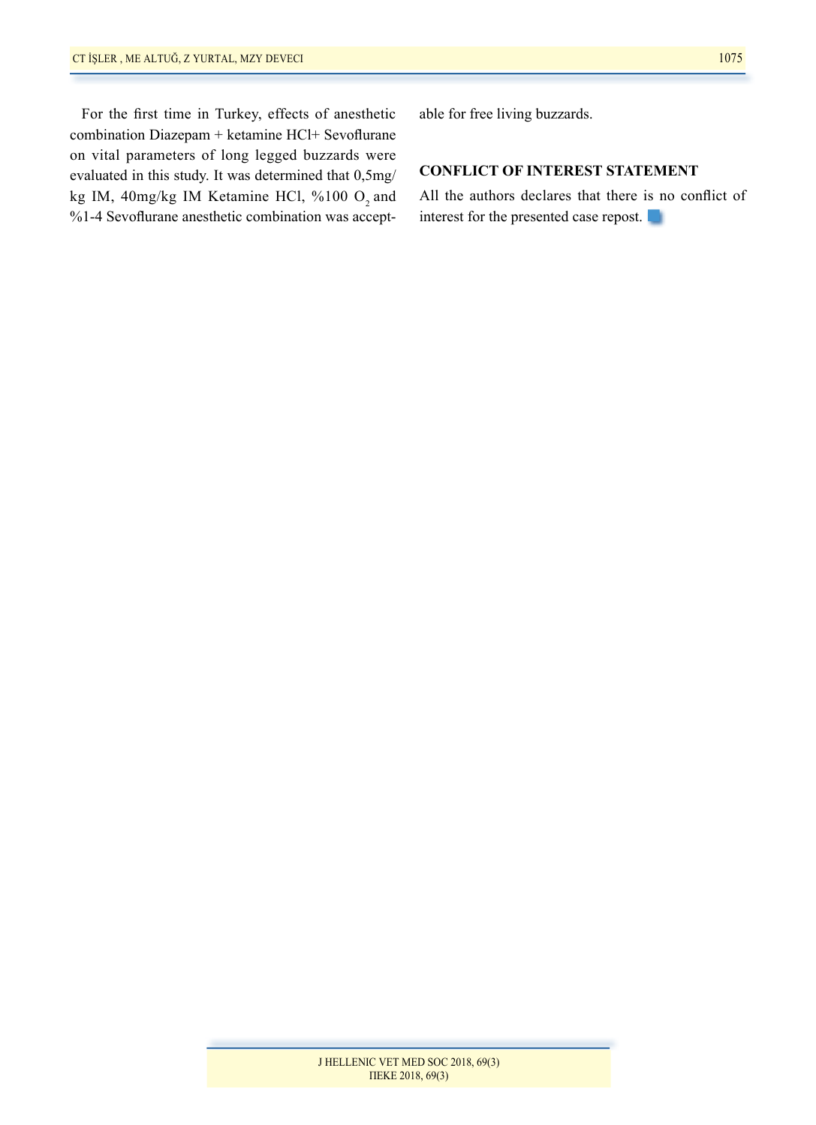For the first time in Turkey, effects of anesthetic combination Diazepam + ketamine HCl+ Sevoflurane on vital parameters of long legged buzzards were evaluated in this study. It was determined that 0,5mg/ kg IM, 40mg/kg IM Ketamine HCl, %100 O<sub>2</sub> and %1-4 Sevoflurane anesthetic combination was acceptable for free living buzzards.

# **CONFLICT OF INTEREST STATEMENT**

All the authors declares that there is no conflict of interest for the presented case repost.